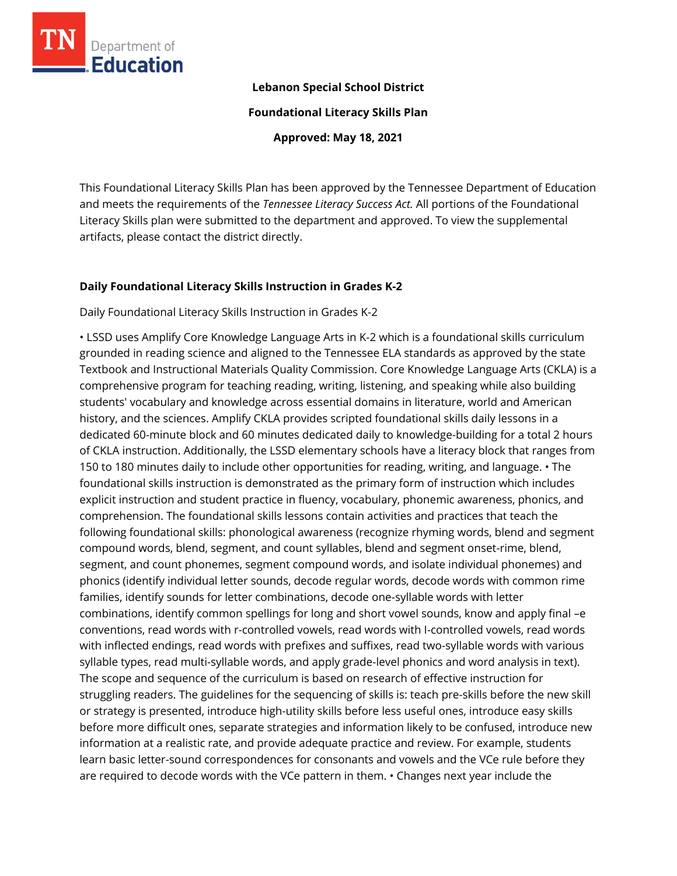

#### **Lebanon Special School District**

**Foundational Literacy Skills Plan**

**Approved: May 18, 2021**

This Foundational Literacy Skills Plan has been approved by the Tennessee Department of Education and meets the requirements of the *Tennessee Literacy Success Act.* All portions of the Foundational Literacy Skills plan were submitted to the department and approved. To view the supplemental artifacts, please contact the district directly.

#### **Daily Foundational Literacy Skills Instruction in Grades K-2**

Daily Foundational Literacy Skills Instruction in Grades K-2

• LSSD uses Amplify Core Knowledge Language Arts in K-2 which is a foundational skills curriculum grounded in reading science and aligned to the Tennessee ELA standards as approved by the state Textbook and Instructional Materials Quality Commission. Core Knowledge Language Arts (CKLA) is a comprehensive program for teaching reading, writing, listening, and speaking while also building students' vocabulary and knowledge across essential domains in literature, world and American history, and the sciences. Amplify CKLA provides scripted foundational skills daily lessons in a dedicated 60-minute block and 60 minutes dedicated daily to knowledge-building for a total 2 hours of CKLA instruction. Additionally, the LSSD elementary schools have a literacy block that ranges from 150 to 180 minutes daily to include other opportunities for reading, writing, and language. • The foundational skills instruction is demonstrated as the primary form of instruction which includes explicit instruction and student practice in fluency, vocabulary, phonemic awareness, phonics, and comprehension. The foundational skills lessons contain activities and practices that teach the following foundational skills: phonological awareness (recognize rhyming words, blend and segment compound words, blend, segment, and count syllables, blend and segment onset-rime, blend, segment, and count phonemes, segment compound words, and isolate individual phonemes) and phonics (identify individual letter sounds, decode regular words, decode words with common rime families, identify sounds for letter combinations, decode one-syllable words with letter combinations, identify common spellings for long and short vowel sounds, know and apply final –e conventions, read words with r-controlled vowels, read words with I-controlled vowels, read words with inflected endings, read words with prefixes and suffixes, read two-syllable words with various syllable types, read multi-syllable words, and apply grade-level phonics and word analysis in text). The scope and sequence of the curriculum is based on research of effective instruction for struggling readers. The guidelines for the sequencing of skills is: teach pre-skills before the new skill or strategy is presented, introduce high-utility skills before less useful ones, introduce easy skills before more difficult ones, separate strategies and information likely to be confused, introduce new information at a realistic rate, and provide adequate practice and review. For example, students learn basic letter-sound correspondences for consonants and vowels and the VCe rule before they are required to decode words with the VCe pattern in them. • Changes next year include the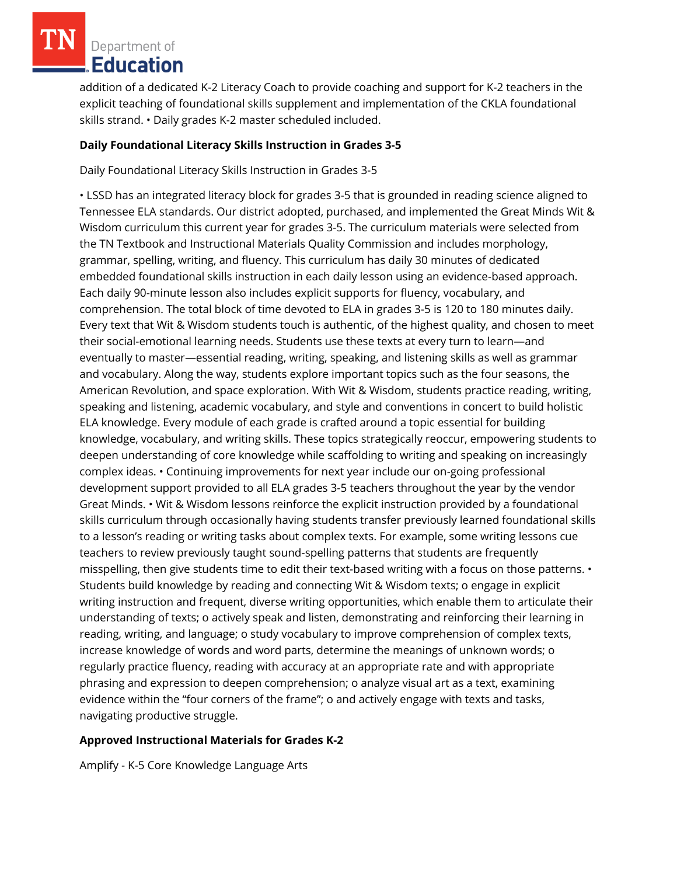addition of a dedicated K-2 Literacy Coach to provide coaching and support for K-2 teachers in the explicit teaching of foundational skills supplement and implementation of the CKLA foundational skills strand. • Daily grades K-2 master scheduled included.

### **Daily Foundational Literacy Skills Instruction in Grades 3-5**

Daily Foundational Literacy Skills Instruction in Grades 3-5

• LSSD has an integrated literacy block for grades 3-5 that is grounded in reading science aligned to Tennessee ELA standards. Our district adopted, purchased, and implemented the Great Minds Wit & Wisdom curriculum this current year for grades 3-5. The curriculum materials were selected from the TN Textbook and Instructional Materials Quality Commission and includes morphology, grammar, spelling, writing, and fluency. This curriculum has daily 30 minutes of dedicated embedded foundational skills instruction in each daily lesson using an evidence-based approach. Each daily 90-minute lesson also includes explicit supports for fluency, vocabulary, and comprehension. The total block of time devoted to ELA in grades 3-5 is 120 to 180 minutes daily. Every text that Wit & Wisdom students touch is authentic, of the highest quality, and chosen to meet their social-emotional learning needs. Students use these texts at every turn to learn—and eventually to master—essential reading, writing, speaking, and listening skills as well as grammar and vocabulary. Along the way, students explore important topics such as the four seasons, the American Revolution, and space exploration. With Wit & Wisdom, students practice reading, writing, speaking and listening, academic vocabulary, and style and conventions in concert to build holistic ELA knowledge. Every module of each grade is crafted around a topic essential for building knowledge, vocabulary, and writing skills. These topics strategically reoccur, empowering students to deepen understanding of core knowledge while scaffolding to writing and speaking on increasingly complex ideas. • Continuing improvements for next year include our on-going professional development support provided to all ELA grades 3-5 teachers throughout the year by the vendor Great Minds. • Wit & Wisdom lessons reinforce the explicit instruction provided by a foundational skills curriculum through occasionally having students transfer previously learned foundational skills to a lesson's reading or writing tasks about complex texts. For example, some writing lessons cue teachers to review previously taught sound-spelling patterns that students are frequently misspelling, then give students time to edit their text-based writing with a focus on those patterns. • Students build knowledge by reading and connecting Wit & Wisdom texts; o engage in explicit writing instruction and frequent, diverse writing opportunities, which enable them to articulate their understanding of texts; o actively speak and listen, demonstrating and reinforcing their learning in reading, writing, and language; o study vocabulary to improve comprehension of complex texts, increase knowledge of words and word parts, determine the meanings of unknown words; o regularly practice fluency, reading with accuracy at an appropriate rate and with appropriate phrasing and expression to deepen comprehension; o analyze visual art as a text, examining evidence within the "four corners of the frame"; o and actively engage with texts and tasks, navigating productive struggle.

#### **Approved Instructional Materials for Grades K-2**

Amplify - K-5 Core Knowledge Language Arts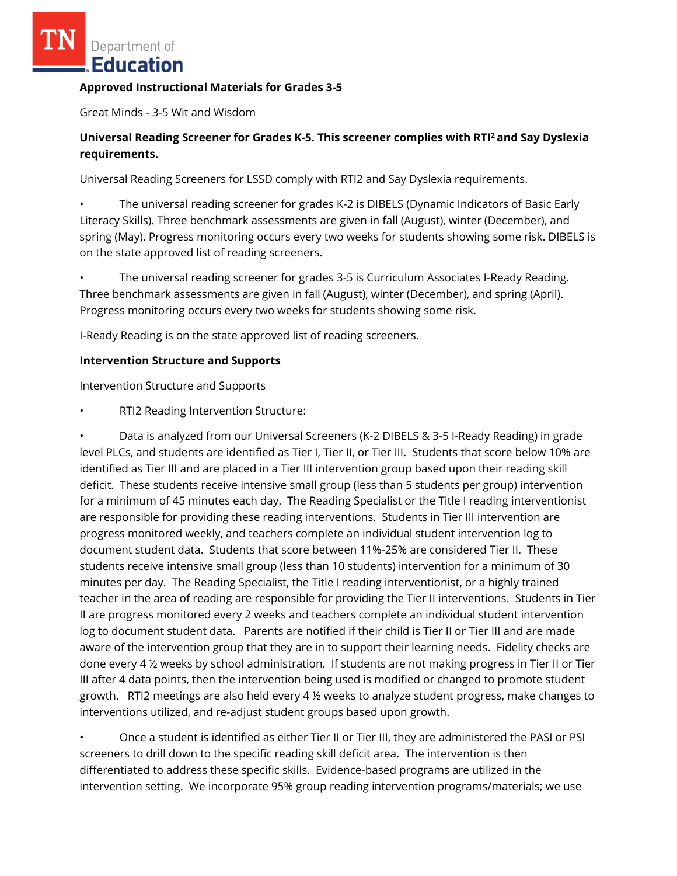#### **Approved Instructional Materials for Grades 3-5**

Great Minds - 3-5 Wit and Wisdom

## **Universal Reading Screener for Grades K-5. This screener complies with RTI<sup>2</sup>and Say Dyslexia requirements.**

Universal Reading Screeners for LSSD comply with RTI2 and Say Dyslexia requirements.

• The universal reading screener for grades K-2 is DIBELS (Dynamic Indicators of Basic Early Literacy Skills). Three benchmark assessments are given in fall (August), winter (December), and spring (May). Progress monitoring occurs every two weeks for students showing some risk. DIBELS is on the state approved list of reading screeners.

• The universal reading screener for grades 3-5 is Curriculum Associates I-Ready Reading. Three benchmark assessments are given in fall (August), winter (December), and spring (April). Progress monitoring occurs every two weeks for students showing some risk.

I-Ready Reading is on the state approved list of reading screeners.

#### **Intervention Structure and Supports**

Intervention Structure and Supports

• RTI2 Reading Intervention Structure:

• Data is analyzed from our Universal Screeners (K-2 DIBELS & 3-5 I-Ready Reading) in grade level PLCs, and students are identified as Tier I, Tier II, or Tier III. Students that score below 10% are identified as Tier III and are placed in a Tier III intervention group based upon their reading skill deficit. These students receive intensive small group (less than 5 students per group) intervention for a minimum of 45 minutes each day. The Reading Specialist or the Title I reading interventionist are responsible for providing these reading interventions. Students in Tier III intervention are progress monitored weekly, and teachers complete an individual student intervention log to document student data. Students that score between 11%-25% are considered Tier II. These students receive intensive small group (less than 10 students) intervention for a minimum of 30 minutes per day. The Reading Specialist, the Title I reading interventionist, or a highly trained teacher in the area of reading are responsible for providing the Tier II interventions. Students in Tier II are progress monitored every 2 weeks and teachers complete an individual student intervention log to document student data. Parents are notified if their child is Tier II or Tier III and are made aware of the intervention group that they are in to support their learning needs. Fidelity checks are done every 4 ½ weeks by school administration. If students are not making progress in Tier II or Tier III after 4 data points, then the intervention being used is modified or changed to promote student growth. RTI2 meetings are also held every 4 ½ weeks to analyze student progress, make changes to interventions utilized, and re-adjust student groups based upon growth.

• Once a student is identified as either Tier II or Tier III, they are administered the PASI or PSI screeners to drill down to the specific reading skill deficit area. The intervention is then differentiated to address these specific skills. Evidence-based programs are utilized in the intervention setting. We incorporate 95% group reading intervention programs/materials; we use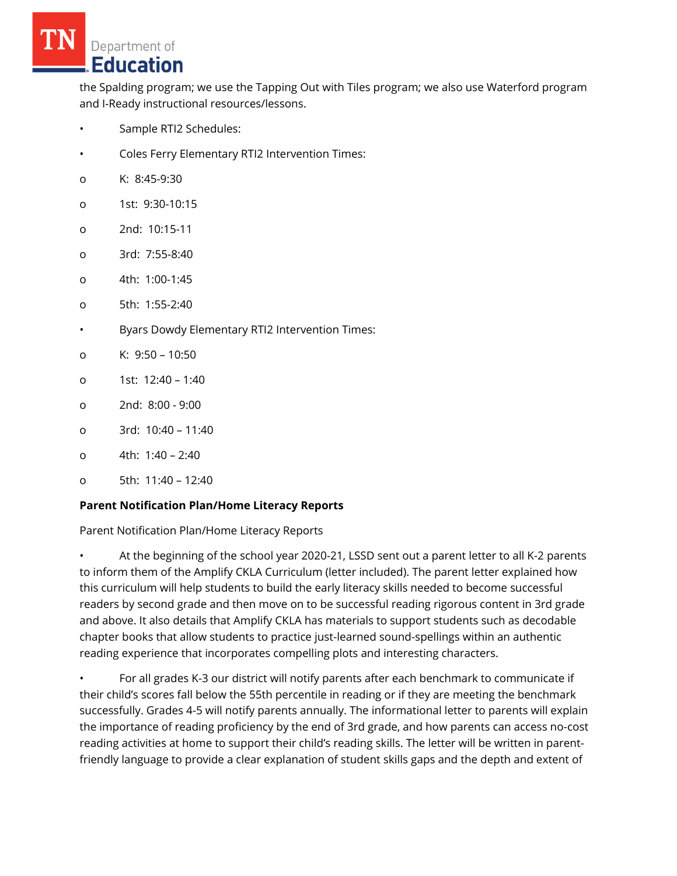the Spalding program; we use the Tapping Out with Tiles program; we also use Waterford program and I-Ready instructional resources/lessons.

- Sample RTI2 Schedules:
- Coles Ferry Elementary RTI2 Intervention Times:
- o K: 8:45-9:30
- o 1st: 9:30-10:15
- o 2nd: 10:15-11
- o 3rd: 7:55-8:40
- o 4th: 1:00-1:45
- o 5th: 1:55-2:40
- Byars Dowdy Elementary RTI2 Intervention Times:
- o K: 9:50 10:50
- o 1st: 12:40 1:40
- o 2nd: 8:00 9:00
- o 3rd: 10:40 11:40
- o 4th: 1:40 2:40
- o 5th: 11:40 12:40

## **Parent Notification Plan/Home Literacy Reports**

Parent Notification Plan/Home Literacy Reports

• At the beginning of the school year 2020-21, LSSD sent out a parent letter to all K-2 parents to inform them of the Amplify CKLA Curriculum (letter included). The parent letter explained how this curriculum will help students to build the early literacy skills needed to become successful readers by second grade and then move on to be successful reading rigorous content in 3rd grade and above. It also details that Amplify CKLA has materials to support students such as decodable chapter books that allow students to practice just-learned sound-spellings within an authentic reading experience that incorporates compelling plots and interesting characters.

• For all grades K-3 our district will notify parents after each benchmark to communicate if their child's scores fall below the 55th percentile in reading or if they are meeting the benchmark successfully. Grades 4-5 will notify parents annually. The informational letter to parents will explain the importance of reading proficiency by the end of 3rd grade, and how parents can access no-cost reading activities at home to support their child's reading skills. The letter will be written in parentfriendly language to provide a clear explanation of student skills gaps and the depth and extent of